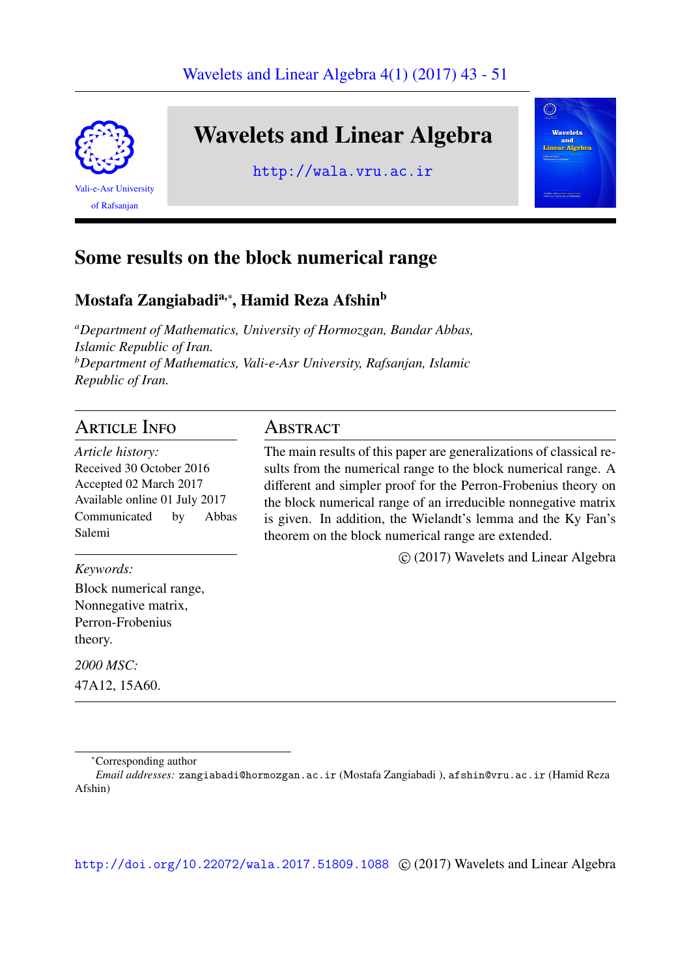

# Wavelets and Linear Algebra

http://wala.vru.ac.ir



## Some results on the block numerical range

## Mostafa Zangiabadi<sup>a,</sup>\*, Hamid Reza Afshin<sup>b</sup>

*<sup>a</sup>Department of Mathematics, University of Hormozgan, Bandar Abbas, Islamic Republic of Iran. <sup>b</sup>Department of Mathematics, Vali-e-Asr University, Rafsanjan, Islamic Republic of Iran.*

## Article Info

*Article history:* Received 30 October 2016 Accepted 02 March 2017 Available online 01 July 2017 Communicated by Abbas Salemi

*Keywords:*

Block numerical range, Nonnegative matrix, Perron-Frobenius theory.

*2000 MSC:*

47A12, 15A60.

<sup>∗</sup>Corresponding author

http://doi.org/10.22072/wala.2017.51809.1088 © (2017) Wavelets and Linear Algebra

## Abstract

The main results of this paper are generalizations of classical results from the numerical range to the block numerical range. A different and simpler proof for the Perron-Frobenius theory on the block numerical range of an irreducible nonnegative matrix is given. In addition, the Wielandt's lemma and the Ky Fan's theorem on the block numerical range are extended.

⃝c (2017) Wavelets and Linear Algebra

*Email addresses:* zangiabadi@hormozgan.ac.ir (Mostafa Zangiabadi ), afshin@vru.ac.ir (Hamid Reza Afshin)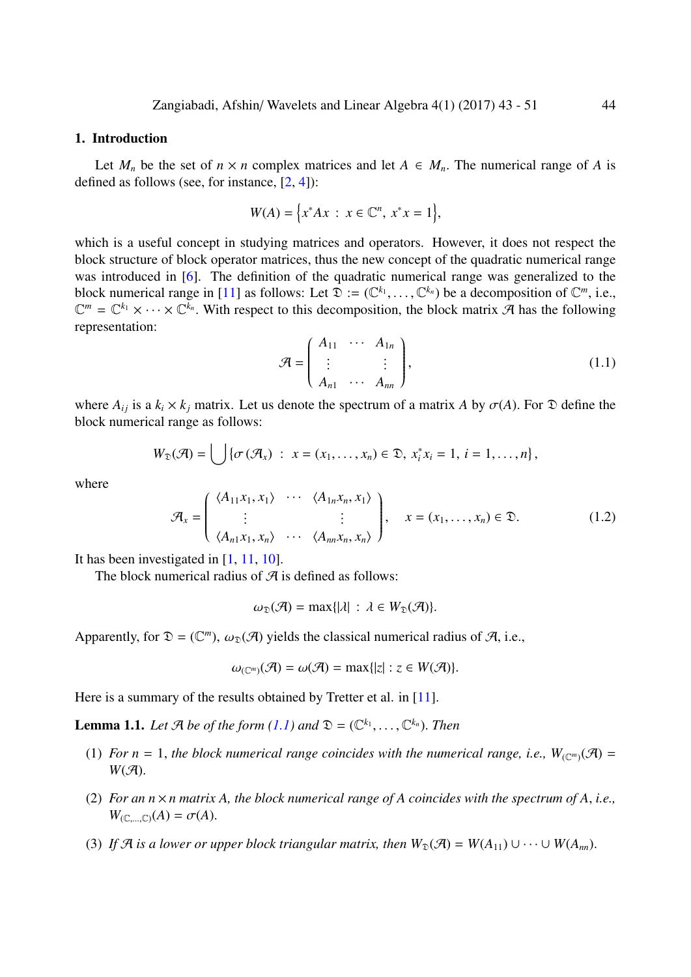### 1. Introduction

Let  $M_n$  be the set of  $n \times n$  complex matrices and let  $A \in M_n$ . The numerical range of A is defined as follows (see, for instance,  $[2, 4]$ ):

$$
W(A) = \{ x^* A x : x \in \mathbb{C}^n, x^* x = 1 \},\
$$

which is a useful concept in studyin[g](#page-7-0) [ma](#page-7-1)trices and operators. However, it does not respect the block structure of block operator matrices, thus the new concept of the quadratic numerical range was introduced in [6]. The definition of the quadratic numerical range was generalized to the block numerical range in [11] as follows: Let  $\mathfrak{D} := (\mathbb{C}^{k_1}, \ldots, \mathbb{C}^{k_n})$  be a decomposition of  $\mathbb{C}^m$ , i.e.,  $\mathbb{C}^m = \mathbb{C}^{k_1} \times \cdots \times \mathbb{C}^{k_n}$ . With respect to this decomposition, the block matrix A has the following representation:

<span id="page-1-0"></span>
$$
\mathcal{A} = \begin{pmatrix} A_{11} & \cdots & A_{1n} \\ \vdots & & \vdots \\ A_{n1} & \cdots & A_{nn} \end{pmatrix},
$$
\n(1.1)

where  $A_{ij}$  is a  $k_i \times k_j$  matrix. Let us denote the spectrum of a matrix *A* by  $\sigma(A)$ . For  $\mathfrak D$  define the block numerical range as follows:

$$
W_{\mathfrak{D}}(\mathcal{A})=\bigcup \{\sigma\left(\mathcal{A}_{x}\right) : x=(x_{1},\ldots,x_{n})\in \mathfrak{D}, x_{i}^{*}x_{i}=1, i=1,\ldots,n\},\
$$

where

<span id="page-1-2"></span>
$$
\mathcal{A}_x = \begin{pmatrix} \langle A_{11}x_1, x_1 \rangle & \cdots & \langle A_{1n}x_n, x_1 \rangle \\ \vdots & & \vdots \\ \langle A_{n1}x_1, x_n \rangle & \cdots & \langle A_{nn}x_n, x_n \rangle \end{pmatrix}, \quad x = (x_1, \dots, x_n) \in \mathfrak{D}.
$$
 (1.2)

It has been investigated in [1, 11, 10].

The block numerical radius of  $A$  is defined as follows:

$$
\omega_{\mathfrak{D}}(\mathcal{A}) = \max\{|\lambda| \,:\, \lambda \in W_{\mathfrak{D}}(\mathcal{A})\}.
$$

Apparently, for  $\mathfrak{D} = (\mathbb{C}^m)$ ,  $\omega_{\mathfrak{D}}(\mathcal{A})$  yields the classical numerical radius of  $\mathcal{A}$ , i.e.,

$$
\omega_{(\mathbb{C}^m)}(\mathcal{A})=\omega(\mathcal{A})=\max\{|z|:z\in W(\mathcal{A})\}.
$$

Here is a summary of the results obtained by Tretter et al. in [11].

**Lemma 1.1.** Let  $\mathcal{A}$  be of the form  $(1.1)$  and  $\mathcal{D} = (\mathbb{C}^{k_1}, \ldots, \mathbb{C}^{k_n})$ . Then

- (1) *For*  $n = 1$ , *the block numerical range coincides with th[e n](#page-8-0)umerical range, i.e.,*  $W_{(\mathbb{C}^m)}(\mathcal{A}) =$  $W(\mathcal{A}).$
- <span id="page-1-1"></span>(2) *For an*  $n \times n$  *matrix A, the block numerical range of A coincides with the spectrum of A, i.e.,*  $W_{(\mathbb{C},\ldots,\mathbb{C})}(A) = \sigma(A).$
- (3) If A is a lower or upper block triangular matrix, then  $W_{\mathfrak{D}}(\mathcal{A}) = W(A_{11}) \cup \cdots \cup W(A_{nn})$ .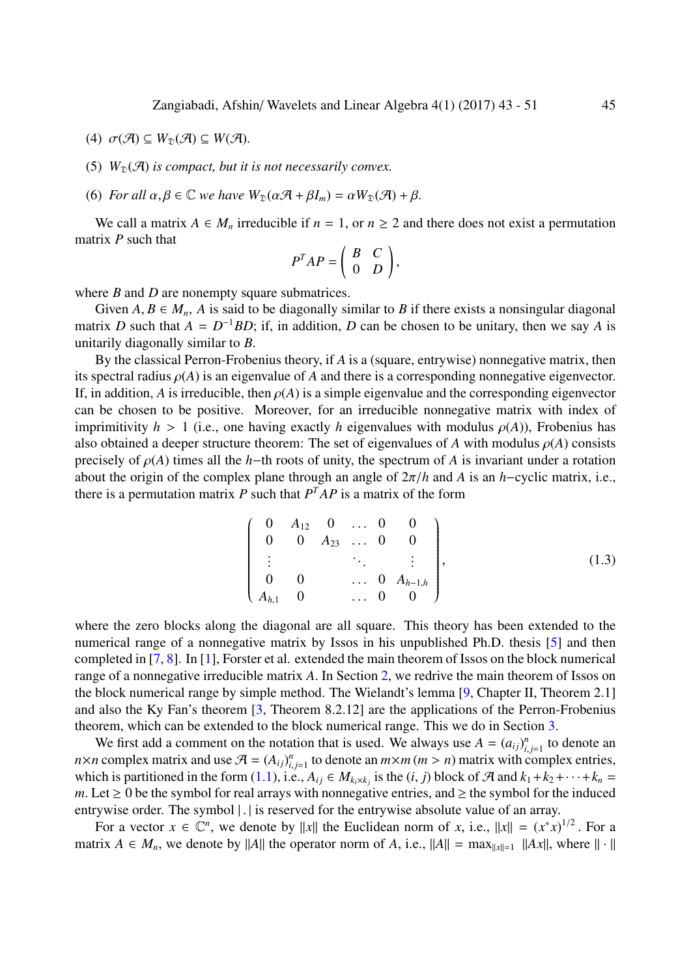- (4)  $\sigma(\mathcal{A}) \subseteq W_{\mathfrak{D}}(\mathcal{A}) \subseteq W(\mathcal{A}).$
- (5)  $W_{\mathfrak{D}}(\mathcal{A})$  *is compact, but it is not necessarily convex.*
- (6) *For all*  $\alpha, \beta \in \mathbb{C}$  *we have*  $W_{\mathfrak{D}}(\alpha \mathcal{A} + \beta I_m) = \alpha W_{\mathfrak{D}}(\mathcal{A}) + \beta$ .

We call a matrix  $A \in M_n$  irreducible if  $n = 1$ , or  $n \geq 2$  and there does not exist a permutation matrix *P* such that

$$
P^T A P = \begin{pmatrix} B & C \\ 0 & D \end{pmatrix},
$$

where *B* and *D* are nonempty square submatrices.

Given  $A, B \in M_n$ , A is said to be diagonally similar to B if there exists a nonsingular diagonal matrix *D* such that  $A = D^{-1}BD$ ; if, in addition, *D* can be chosen to be unitary, then we say *A* is unitarily diagonally similar to *B*.

By the classical Perron-Frobenius theory, if *A* is a (square, entrywise) nonnegative matrix, then its spectral radius  $\rho(A)$  is an eigenvalue of A and there is a corresponding nonnegative eigenvector. If, in addition, *A* is irreducible, then  $\rho(A)$  is a simple eigenvalue and the corresponding eigenvector can be chosen to be positive. Moreover, for an irreducible nonnegative matrix with index of imprimitivity  $h > 1$  (i.e., one having exactly h eigenvalues with modulus  $\rho(A)$ ), Frobenius has also obtained a deeper structure theorem: The set of eigenvalues of A with modulus  $\rho(A)$  consists precisely of  $\rho(A)$  times all the *h*−th roots of unity, the spectrum of *A* is invariant under a rotation about the origin of the complex plane through an angle of  $2\pi/h$  and *A* is an *h*−cyclic matrix, i.e., there is a permutation matrix  $P$  such that  $P^{T}AP$  is a matrix of the form

$$
\begin{pmatrix}\n0 & A_{12} & 0 & \dots & 0 & 0 \\
0 & 0 & A_{23} & \dots & 0 & 0 \\
\vdots & & & \ddots & & \vdots \\
0 & 0 & & \dots & 0 & A_{h-1,h} \\
A_{h,1} & 0 & & \dots & 0 & 0\n\end{pmatrix},
$$
\n(1.3)

where the zero blocks along the diagonal are all square. This theory has been extended to the numerical range of a nonnegative matrix by Issos in his unpublished Ph.D. thesis [5] and then completed in [7, 8]. In [1], Forster et al. extended the main theorem of Issos on the block numerical range of a nonnegative irreducible matrix *A*. In Section 2, we redrive the main theorem of Issos on the block numerical range by simple method. The Wielandt's lemma [9, Chapter II, T[he](#page-8-2)orem 2.1] and also the [Ky](#page-8-3) [F](#page-8-4)an's [th](#page-7-2)eorem [3, Theorem 8.2.12] are the applications of the Perron-Frobenius theorem, which can be extended to the block numerical [r](#page-3-0)ange. This we do in Section 3.

We first add a comment on the notation that is u[se](#page-8-5)d. We always use  $A = (a_{ij})_{i,j=1}^n$  to denote an *n*×*n* complex matrix and use  $\mathcal{A} = (A_{ij})_{i,j=1}^n$  $\mathcal{A} = (A_{ij})_{i,j=1}^n$  $\mathcal{A} = (A_{ij})_{i,j=1}^n$  to denote an  $m \times m$  ( $m > n$ ) matrix with complex entries, which is partitioned in the form (1.1), i.e.,  $A_{ij} \in M_{k_i \times k_j}$  is the (*i*, *j*) block of A and  $k_1 + k_2 + \cdots + k_n =$  $k_1 + k_2 + \cdots + k_n =$  $k_1 + k_2 + \cdots + k_n =$ *m*. Let  $\geq 0$  be the symbol for real arrays with nonnegative entries, and  $\geq$  the symbol for the induced entrywise order. The symbol | . | is reserved for the entrywise absolute value of an array.

For a vector  $x \in \mathbb{C}^n$ , we de[note](#page-1-0) by ||x|| the Euclidean norm of *x*, i.e.,  $||x|| = (x^*x)^{1/2}$ . For a matrix  $A \in M_n$ , we denote by ||A|| the operator norm of *A*, i.e.,  $||A|| = \max_{||x||=1} ||Ax||$ , where  $|| \cdot ||$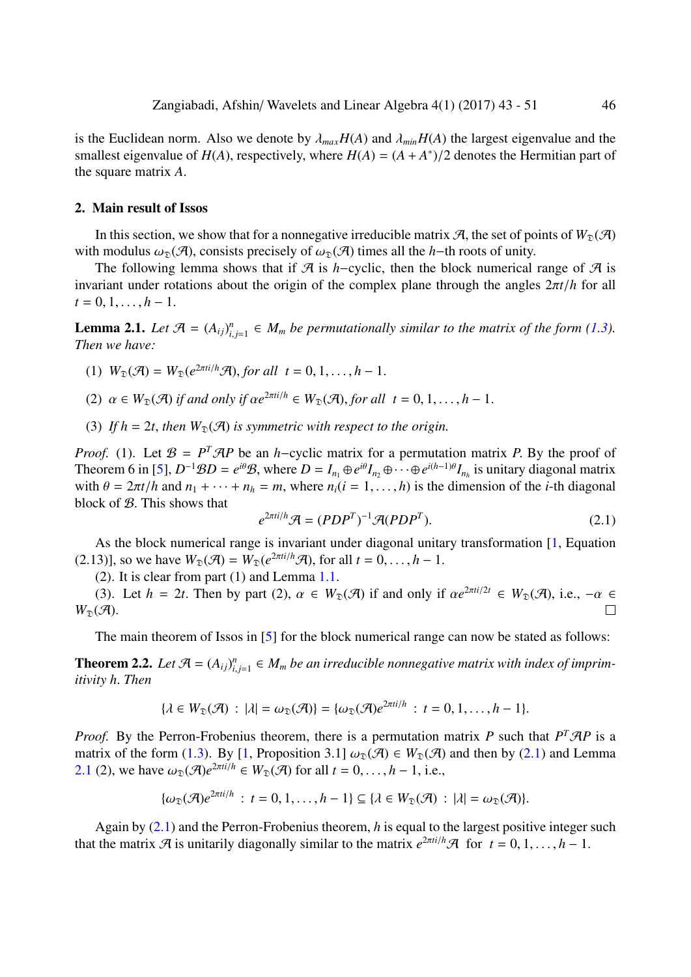is the Euclidean norm. Also we denote by  $\lambda_{max}H(A)$  and  $\lambda_{min}H(A)$  the largest eigenvalue and the smallest eigenvalue of  $H(A)$ , respectively, where  $H(A) = (A + A^*)/2$  denotes the Hermitian part of the square matrix *A*.

#### 2. Main result of Issos

In this section, we show that for a nonnegative irreducible matrix  $A$ , the set of points of  $W_{\mathfrak{D}}(A)$ with modulus  $\omega_{\mathcal{D}}(\mathcal{A})$ , consists precisely of  $\omega_{\mathcal{D}}(\mathcal{A})$  times all the *h*−th roots of unity.

<span id="page-3-0"></span>The following lemma shows that if  $A$  is *h*−cyclic, then the block numerical range of  $A$  is invariant under rotations about the origin of the complex plane through the angles 2π*t*/*h* for all  $t = 0, 1, \ldots, h-1.$ 

**Lemma 2.1.** Let  $\mathcal{A} = (A_{ij})_{i,j=1}^n \in M_m$  be permutationally similar to the matrix of the form (1.3). *Then we have:*

- (1)  $W_{\mathfrak{D}}(\mathcal{A}) = W_{\mathfrak{D}}(e^{2\pi t i/h}\mathcal{A})$ , *for all*  $t = 0, 1, ..., h 1$ .
- (2)  $\alpha \in W_{\mathfrak{D}}(\mathcal{A})$  *if and only if*  $\alpha e^{2\pi i t/h} \in W_{\mathfrak{D}}(\mathcal{A})$ , *for all*  $t = 0, 1, ..., h 1$ .
- (3) If  $h = 2t$ , then  $W_{\mathcal{D}}(\mathcal{A})$  is symmetric with respect to the origin.

*Proof.* (1). Let  $\mathcal{B} = P^T \mathcal{A} P$  be an *h*−cyclic matrix for a permutation matrix *P*. By the proof of Theorem 6 in [5],  $D^{-1}BD = e^{i\theta}B$ , where  $D = I_{n_1} \oplus e^{i\theta}I_{n_2} \oplus \cdots \oplus e^{i(h-1)\theta}I_{n_h}$  is unitary diagonal matrix with  $\theta = 2\pi t/h$  and  $n_1 + \cdots + n_h = m$ , where  $n_i(i = 1, \ldots, h)$  is the dimension of the *i*-th diagonal block of B. This shows that

$$
e^{2\pi t i/h}\mathcal{A} = (PDP^T)^{-1}\mathcal{A}(PDP^T). \tag{2.1}
$$

As the block numerical range is invariant under diagonal unitary transformation [1, Equation  $(2.13)$ ], so we have  $W_{\mathfrak{D}}(\mathcal{A}) = W_{\mathfrak{D}}(e^{2\pi i t/h}\mathcal{A})$ , for all  $t = 0, \ldots, h-1$ .

(2). It is clear from part (1) and Lemma 1.1.

(3). Let  $h = 2t$ . Then by part (2)[,](#page-7-2)  $\alpha \in W_{\mathcal{D}}(\mathcal{A})$  if and only if  $\alpha e^{2\pi i/2t} \in W_{\mathcal{D}}(\mathcal{A})$ , i.e.,  $-\alpha \in$  $W_{\mathfrak{D}}(\mathcal{A}).$ П

The main theorem of Issos in [5] for the [blo](#page-1-1)ck numerical range can now be stated as follows:

**Theorem 2.2.** Let  $\mathcal{A} = (A_{ij})_{i,j=1}^n \in M_m$  be an irreducible nonnegative matrix with index of imprim*itivity h*. *Then*

$$
\{\lambda \in W_{\mathfrak{D}}(\mathcal{A}) : |\lambda| = \omega_{\mathfrak{D}}(\mathcal{A})\} = \{\omega_{\mathfrak{D}}(\mathcal{A})e^{2\pi t i/h} : t = 0, 1, \ldots, h-1\}.
$$

*Proof.* By the Perron-Frobenius theorem, there is a permutation matrix *P* such that  $P^T \mathcal{A} P$  is a matrix of the form (1.3). By [1, Proposition 3.1]  $\omega_{\mathfrak{D}}(\mathcal{A}) \in W_{\mathfrak{D}}(\mathcal{A})$  and then by (2.1) and Lemma 2.1 (2), we have  $\omega_{\mathfrak{D}}(\mathcal{A})e^{2\pi i/h} \in W_{\mathfrak{D}}(\mathcal{A})$  for all  $t = 0, \ldots, h - 1$ , i.e.,

$$
\{\omega_{\mathfrak{D}}(\mathcal{A})e^{2\pi i/h} : t = 0, 1, \ldots, h-1\} \subseteq \{\lambda \in W_{\mathfrak{D}}(\mathcal{A}) : |\lambda| = \omega_{\mathfrak{D}}(\mathcal{A})\}.
$$

Again by (2.1) and the Perron-Frobenius theorem, *h* is equal to the largest positive integer such that the matrix  $\mathcal{A}$  is unitarily diagonally similar to the matrix  $e^{2\pi i t/h}\mathcal{A}$  for  $t = 0, 1, ..., h - 1$ .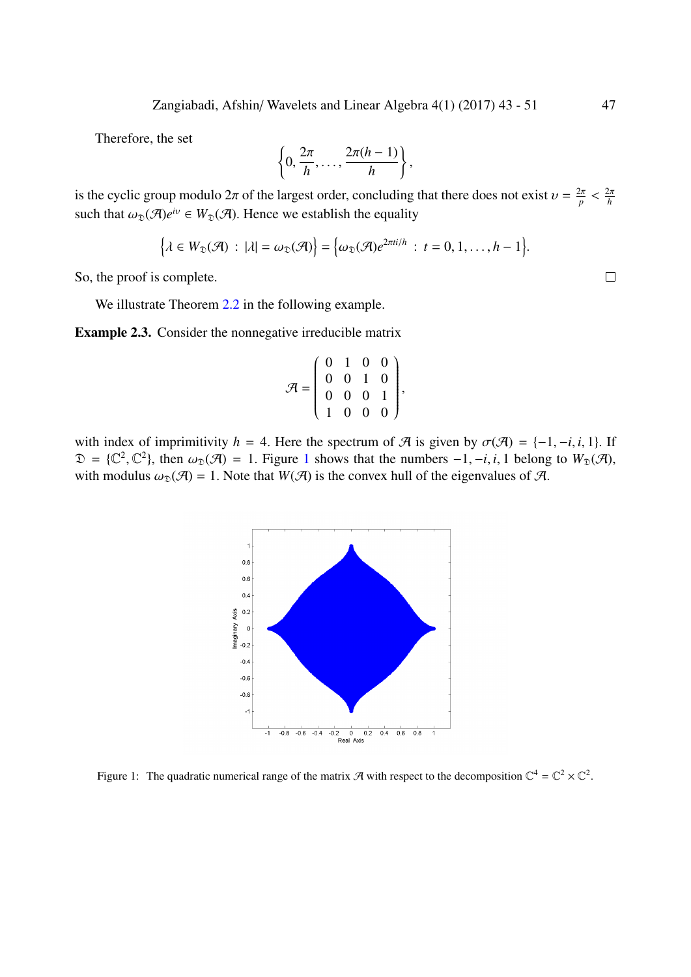Therefore, the set

$$
\left\{0, \frac{2\pi}{h}, \ldots, \frac{2\pi(h-1)}{h}\right\},\,
$$

is the cyclic group modulo  $2\pi$  of the largest order, concluding that there does not exist  $v = \frac{2\pi}{n}$  $\frac{2\pi}{p} < \frac{2\pi}{h}$ *h* such that  $\omega_{\mathfrak{D}}(\mathcal{A})e^{i\nu} \in W_{\mathfrak{D}}(\mathcal{A})$ . Hence we establish the equality

$$
\big\{\lambda\in W_{\mathfrak{D}}(\mathcal{A})\,:\,|\lambda|=\omega_{\mathfrak{D}}(\mathcal{A})\big\}=\big\{\omega_{\mathfrak{D}}(\mathcal{A})e^{2\pi t i/h}\,:\,t=0,1,\ldots,h-1\big\}.
$$

So, the proof is complete.

We illustrate Theorem 2.2 in the following example.

Example 2.3. Consider the nonnegative irreducible matrix

$$
\mathcal{A} = \left( \begin{array}{rrr} 0 & 1 & 0 & 0 \\ 0 & 0 & 1 & 0 \\ 0 & 0 & 0 & 1 \\ 1 & 0 & 0 & 0 \end{array} \right),
$$

with index of imprimitivity *h* = 4. Here the spectrum of  $\mathcal{A}$  is given by  $\sigma(\mathcal{A}) = \{-1, -i, i, 1\}$ . If  $\mathfrak{D} = \{ \mathbb{C}^2, \mathbb{C}^2 \}$ , then  $\omega_{\mathfrak{D}}(\mathcal{A}) = 1$ . Figure 1 shows that the numbers  $-1, -i, i, 1$  belong to  $W_{\mathfrak{D}}(\mathcal{A})$ , with modulus  $\omega_{\mathfrak{D}}(\mathcal{A}) = 1$ . Note that  $W(\mathcal{A})$  is the convex hull of the eigenvalues of  $\mathcal{A}$ .



Figure 1: The quadratic numerical range of the matrix A with respect to the decomposition  $\mathbb{C}^4 = \mathbb{C}^2 \times \mathbb{C}^2$ .

 $\Box$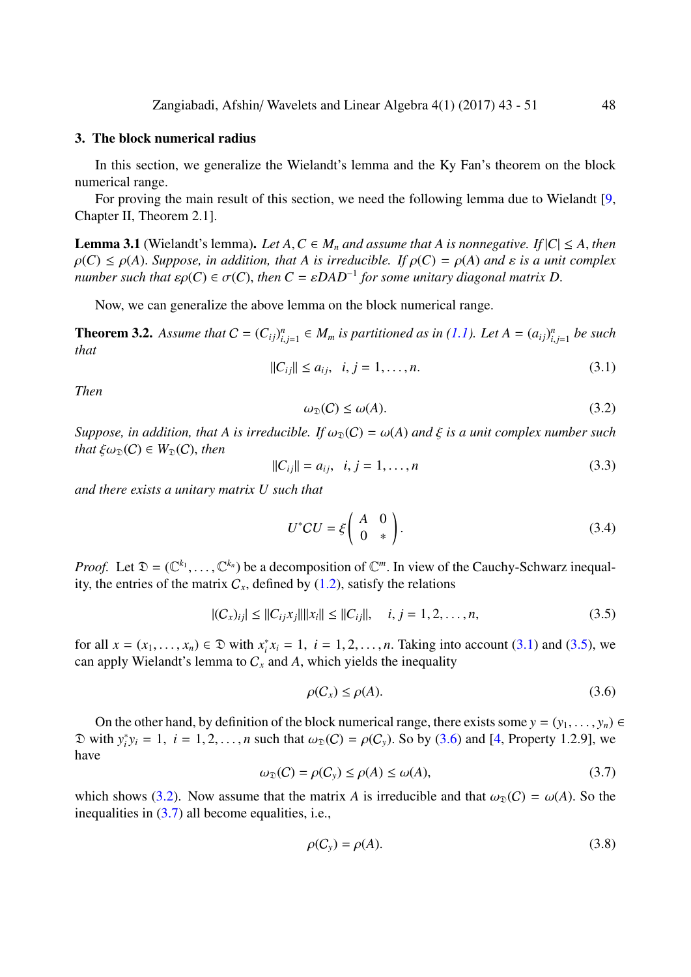### 3. The block numerical radius

In this section, we generalize the Wielandt's lemma and the Ky Fan's theorem on the block numerical range.

<span id="page-5-0"></span>For proving the main result of this section, we need the following lemma due to Wielandt [9, Chapter II, Theorem 2.1].

**Lemma 3.1** (Wielandt's lemma). Let  $A, C \in M_n$  and assume that  $A$  is nonnegative. If  $|C| \leq A$ , then  $\rho(C) \leq \rho(A)$ . Suppose, in addition, that A is irreducible. If  $\rho(C) = \rho(A)$  and  $\varepsilon$  is a unit compl[ex](#page-8-5) *number such that*  $\varepsilon \rho(C) \in \sigma(C)$ , then  $C = \varepsilon DAD^{-1}$  for some unitary diagonal matrix D.

Now, we can generalize the above lemma on the block numerical range.

**Theorem 3.2.** Assume that  $C = (C_{ij})_{i,j=1}^n \in M_m$  is partitioned as in (1.1). Let  $A = (a_{ij})_{i,j=1}^n$  be such *that*

$$
||C_{ij}|| \le a_{ij}, \quad i, j = 1, \dots, n. \tag{3.1}
$$

<span id="page-5-4"></span>*Then*

$$
\omega_{\mathfrak{D}}(C) \le \omega(A). \tag{3.2}
$$

*Suppose, in addition, that A is irreducible. If*  $\omega_{\mathcal{D}}(C) = \omega(A)$  *and*  $\xi$  *is a unit complex number such that*  $\xi \omega_{\mathfrak{D}}(C) \in W_{\mathfrak{D}}(C)$ *, then* 

$$
||C_{ij}|| = a_{ij}, \ \ i, j = 1, \dots, n
$$
\n(3.3)

*and there exists a unitary matrix U such that*

<span id="page-5-3"></span>
$$
U^*CU = \xi \begin{pmatrix} A & 0 \\ 0 & * \end{pmatrix}.
$$
 (3.4)

*Proof.* Let  $\mathfrak{D} = (\mathbb{C}^{k_1}, \ldots, \mathbb{C}^{k_n})$  be a decomposition of  $\mathbb{C}^m$ . In view of the Cauchy-Schwarz inequality, the entries of the matrix  $C_x$ , defined by  $(1.2)$ , satisfy the relations

$$
|(C_x)_{ij}| \le ||C_{ij}x_j|| ||x_i|| \le ||C_{ij}||, \quad i, j = 1, 2, ..., n,
$$
\n(3.5)

for all  $x = (x_1, \ldots, x_n) \in \mathfrak{D}$  with  $x_i^*$  $i_i^* x_i = 1$  $i_i^* x_i = 1$  $i_i^* x_i = 1$ ,  $i = 1, 2, ..., n$ . Taking into account (3.1) and (3.5), we can apply Wielandt's lemma to  $C_x$  and A, which yields the inequality

<span id="page-5-1"></span>
$$
\rho(C_x) \le \rho(A). \tag{3.6}
$$

On the other hand, by definition of the block numerical range, there exists some  $y = (y_1, \ldots, y_n) \in$  $\mathfrak{D}$  with  $y_i^*$  $i_j y_i = 1$ ,  $i = 1, 2, ..., n$  such that  $\omega_{\mathcal{D}}(C) = \rho(C_y)$ . So by (3.6) and [4, Property 1.2.9], we have

$$
\omega_{\mathfrak{D}}(C) = \rho(C_{y}) \le \rho(A) \le \omega(A),\tag{3.7}
$$

which shows (3.2). Now assume that the matrix *A* is irreducible [and](#page-5-1) that  $\omega_{\mathcal{D}}(C) = \omega(A)$ . So the inequalities in (3.7) all become equalities, i.e.,

<span id="page-5-2"></span>
$$
\rho(C_y) = \rho(A). \tag{3.8}
$$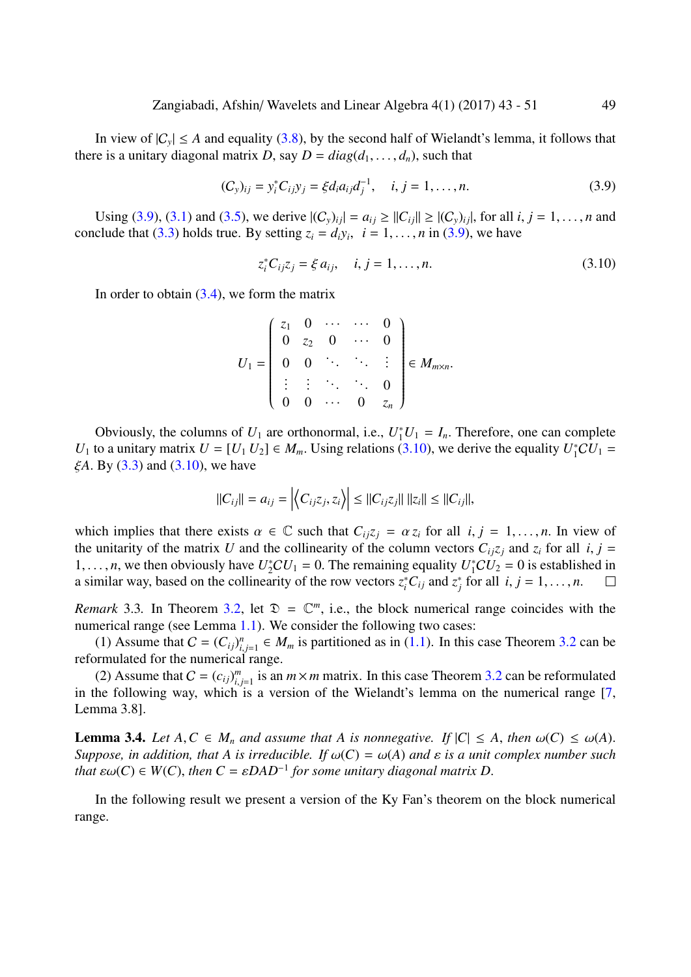In view of  $|C_y| \le A$  and equality (3.8), by the second half of Wielandt's lemma, it follows that there is a unitary diagonal matrix *D*, say  $D = diag(d_1, \ldots, d_n)$ , such that

$$
(C_y)_{ij} = y_i^* C_{ij} y_j = \xi d_i a_{ij} d_j^{-1}, \quad i, j = 1, ..., n.
$$
 (3.9)

Using (3.9), (3.1) and (3.5), we derive  $|(C_y)_{ij}| = a_{ij} \geq ||C_{ij}|| \geq |(C_y)_{ij}|$ , for all *i*, *j* = 1, ..., *n* and conclude that (3.3) holds true. By setting  $z_i = d_i y_i$ ,  $i = 1, ..., n$  in (3.9), we have

$$
z_i^* C_{ij} z_j = \xi a_{ij}, \quad i, j = 1, ..., n.
$$
 (3.10)

In order to [obta](#page-5-3)in  $(3.4)$ , we form the matrix

<span id="page-6-0"></span>
$$
U_1 = \left(\begin{array}{cccc} z_1 & 0 & \cdots & \cdots & 0 \\ 0 & z_2 & 0 & \cdots & 0 \\ 0 & 0 & \ddots & \ddots & \vdots \\ \vdots & \vdots & \ddots & \ddots & 0 \\ 0 & 0 & \cdots & 0 & z_n \end{array}\right) \in M_{m \times n}.
$$

Obviously, the columns of  $U_1$  are orthonormal, i.e.,  $U_1^*U_1 = I_n$ . Therefore, one can complete *U*<sub>1</sub> to a unitary matrix  $U = [U_1 U_2] \in M_m$ . Using relations (3.10), we derive the equality  $U_1^*CU_1 =$ ξ*A*. By (3.3) and (3.10), we have

$$
||C_{ij}|| = a_{ij} = \left| \left\langle C_{ij}z_j, z_i \right\rangle \right| \leq ||C_{ij}z_j|| \, ||z_i|| \leq ||C_{ij}||,
$$

which i[mpli](#page-5-3)es th[at the](#page-6-0)re exists  $\alpha \in \mathbb{C}$  such that  $C_{ij}z_j = \alpha z_i$  for all  $i, j = 1, \ldots, n$ . In view of the unitarity of the matrix *U* and the collinearity of the column vectors  $C_{ij}z_j$  and  $z_i$  for all *i*,  $j =$ 1, ..., *n*, we then obviously have  $U_2^*CU_1 = 0$ . The remaining equality  $U_1^*CU_2 = 0$  is established in a similar way, based on the collinearity of the row vectors  $z_i^* C_{ij}$  and  $z_j^*$  $j_{j}$  for all *i*, *j* = 1, . . . , *n*.  $\Box$ 

*Remark* 3.3. In Theorem 3.2, let  $\mathcal{D} = \mathbb{C}^m$ , i.e., the block numerical range coincides with the numerical range (see Lemma 1.1). We consider the following two cases:

(1) Assume that  $C = (C_{ij})_{i,j=1}^n \in M_m$  is partitioned as in (1.1). In this case Theorem 3.2 can be reformulated for the nume[rica](#page-5-4)l range.

(2) Assume that  $C = (c_{ij})_{i,j=1}^m$  $C = (c_{ij})_{i,j=1}^m$  $C = (c_{ij})_{i,j=1}^m$  is an  $m \times m$  matrix. In this case Theorem 3.2 can be reformulated in the following way, which is a version of the Wielandt['s le](#page-1-0)mma on the numerica[l ran](#page-5-4)ge [7, Lemma 3.8].

**Lemma 3.4.** *Let*  $A, C \in M_n$  $A, C \in M_n$  *and assume that*  $A$  *is nonnegative.* If  $|C| \leq A$ , *then*  $\omega(C) \leq \omega(A)$ . *Suppose, in addition, that A is irreducible. If*  $\omega(C) = \omega(A)$  *and*  $\varepsilon$  *is a unit complex number su[ch](#page-8-3) that*  $\varepsilon\omega(C) \in W(C)$ , *then*  $C = \varepsilon DAD^{-1}$  *for some unitary diagonal matrix*  $D$ .

In the following result we present a version of the Ky Fan's theorem on the block numerical range.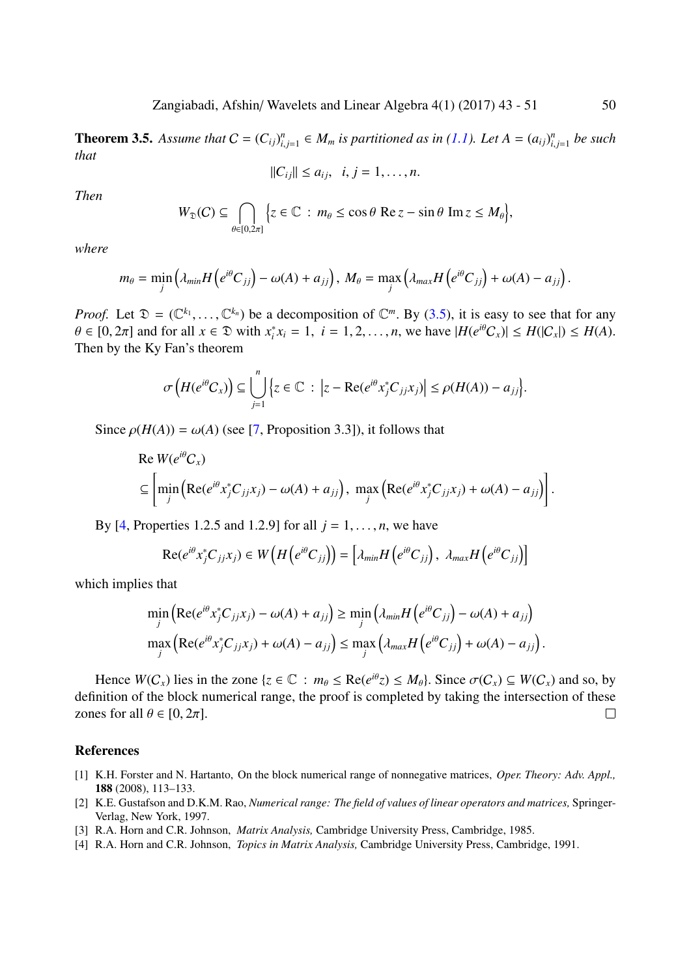**Theorem 3.5.** Assume that  $C = (C_{ij})_{i,j=1}^n \in M_m$  is partitioned as in (1.1). Let  $A = (a_{ij})_{i,j=1}^n$  be such *that*

$$
||C_{ij}|| \leq a_{ij}, \quad i, j = 1, \ldots, n.
$$

*Then*

$$
W_{\mathfrak{D}}(C) \subseteq \bigcap_{\theta \in [0,2\pi]} \Big\{ z \in \mathbb{C} : m_{\theta} \leq \cos \theta \operatorname{Re} z - \sin \theta \operatorname{Im} z \leq M_{\theta} \Big\},\
$$

*where*

$$
m_{\theta} = \min_j \left( \lambda_{min} H\left(e^{i\theta}C_{jj}\right) - \omega(A) + a_{jj}\right), \ M_{\theta} = \max_j \left( \lambda_{max} H\left(e^{i\theta}C_{jj}\right) + \omega(A) - a_{jj}\right).
$$

*Proof.* Let  $\mathfrak{D} = (\mathbb{C}^{k_1}, \ldots, \mathbb{C}^{k_n})$  be a decomposition of  $\mathbb{C}^m$ . By (3.5), it is easy to see that for any  $\theta \in [0, 2\pi]$  and for all  $x \in \mathcal{D}$  with  $x_i^*$  $i<sup>*</sup>$ *i*</sup>  $x_i = 1, i = 1, 2, ..., n$ , we have  $|H(e^{i\theta}C_x)| \le H(|C_x|) \le H(A)$ . Then by the Ky Fan's theorem

$$
\sigma\left(H(e^{i\theta}C_x)\right) \subseteq \bigcup_{j=1}^n \left\{z \in \mathbb{C} \ : \ \left|z - \text{Re}(e^{i\theta}x_j^*C_{jj}x_j)\right| \leq \rho(H(A)) - a_{jj}\right\}.
$$

Since  $\rho(H(A)) = \omega(A)$  (see [7, Proposition 3.3]), it follows that

Re 
$$
W(e^{i\theta}C_x)
$$
  
\n $\subseteq \left[ \min_j \left( \text{Re}(e^{i\theta} x_j^* C_{jj} x_j) - \omega(A) + a_{jj} \right), \max_j \left( \text{Re}(e^{i\theta} x_j^* C_{jj} x_j) + \omega(A) - a_{jj} \right) \right].$ 

By [4, Properties 1.2.5 and 1.2.9] for all  $j = 1, \ldots, n$ , we have

$$
\operatorname{Re}(e^{i\theta}x_j^*C_{jj}x_j)\in W\big(H\big(e^{i\theta}C_{jj}\big)\big)=\big[\lambda_{min}H\big(e^{i\theta}C_{jj}\big),\ \lambda_{max}H\big(e^{i\theta}C_{jj}\big)\big]
$$

which i[m](#page-7-1)plies that

$$
\min_{j} \left( \text{Re}(e^{i\theta} x_j^* C_{jj} x_j) - \omega(A) + a_{jj} \right) \geq \min_{j} \left( \lambda_{min} H \left( e^{i\theta} C_{jj} \right) - \omega(A) + a_{jj} \right)
$$
\n
$$
\max_{j} \left( \text{Re}(e^{i\theta} x_j^* C_{jj} x_j) + \omega(A) - a_{jj} \right) \leq \max_{j} \left( \lambda_{max} H \left( e^{i\theta} C_{jj} \right) + \omega(A) - a_{jj} \right).
$$

Hence  $W(C_x)$  lies in the zone  $\{z \in \mathbb{C} : m_\theta \le \text{Re}(e^{i\theta}z) \le M_\theta\}$ . Since  $\sigma(C_x) \subseteq W(C_x)$  and so, by definition of the block numerical range, the proof is completed by taking the intersection of these zones for all  $\theta \in [0, 2\pi]$ .  $\Box$ 

#### References

- [1] K.H. Forster and N. Hartanto, On the block numerical range of nonnegative matrices, *Oper. Theory: Adv. Appl.,* 188 (2008), 113–133.
- [2] K.E. Gustafson and D.K.M. Rao, *Numerical range: The field of values of linear operators and matrices,* Springer-Verlag, New York, 1997.
- <span id="page-7-2"></span>[3] R.A. Horn and C.R. Johnson, *Matrix Analysis,* Cambridge University Press, Cambridge, 1985.
- <span id="page-7-3"></span><span id="page-7-1"></span><span id="page-7-0"></span>[4] R.A. Horn and C.R. Johnson, *Topics in Matrix Analysis,* Cambridge University Press, Cambridge, 1991.